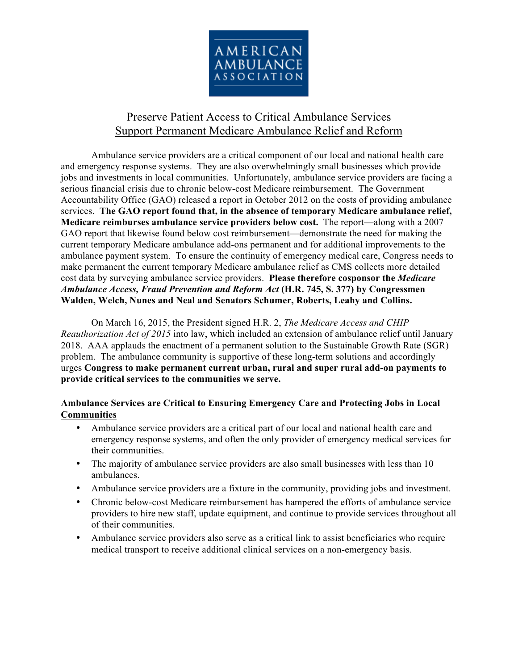

# Preserve Patient Access to Critical Ambulance Services Support Permanent Medicare Ambulance Relief and Reform

Ambulance service providers are a critical component of our local and national health care and emergency response systems. They are also overwhelmingly small businesses which provide jobs and investments in local communities. Unfortunately, ambulance service providers are facing a serious financial crisis due to chronic below-cost Medicare reimbursement. The Government Accountability Office (GAO) released a report in October 2012 on the costs of providing ambulance services. **The GAO report found that, in the absence of temporary Medicare ambulance relief, Medicare reimburses ambulance service providers below cost.** The report—along with a 2007 GAO report that likewise found below cost reimbursement—demonstrate the need for making the current temporary Medicare ambulance add-ons permanent and for additional improvements to the ambulance payment system. To ensure the continuity of emergency medical care, Congress needs to make permanent the current temporary Medicare ambulance relief as CMS collects more detailed cost data by surveying ambulance service providers. **Please therefore cosponsor the** *Medicare Ambulance Access, Fraud Prevention and Reform Act* **(H.R. 745, S. 377) by Congressmen Walden, Welch, Nunes and Neal and Senators Schumer, Roberts, Leahy and Collins.**

On March 16, 2015, the President signed H.R. 2, *The Medicare Access and CHIP Reauthorization Act of 2015* into law, which included an extension of ambulance relief until January 2018. AAA applauds the enactment of a permanent solution to the Sustainable Growth Rate (SGR) problem. The ambulance community is supportive of these long-term solutions and accordingly urges **Congress to make permanent current urban, rural and super rural add-on payments to provide critical services to the communities we serve.**

## **Ambulance Services are Critical to Ensuring Emergency Care and Protecting Jobs in Local Communities**

- Ambulance service providers are a critical part of our local and national health care and emergency response systems, and often the only provider of emergency medical services for their communities.
- The majority of ambulance service providers are also small businesses with less than 10 ambulances.
- Ambulance service providers are a fixture in the community, providing jobs and investment.
- Chronic below-cost Medicare reimbursement has hampered the efforts of ambulance service providers to hire new staff, update equipment, and continue to provide services throughout all of their communities.
- Ambulance service providers also serve as a critical link to assist beneficiaries who require medical transport to receive additional clinical services on a non-emergency basis.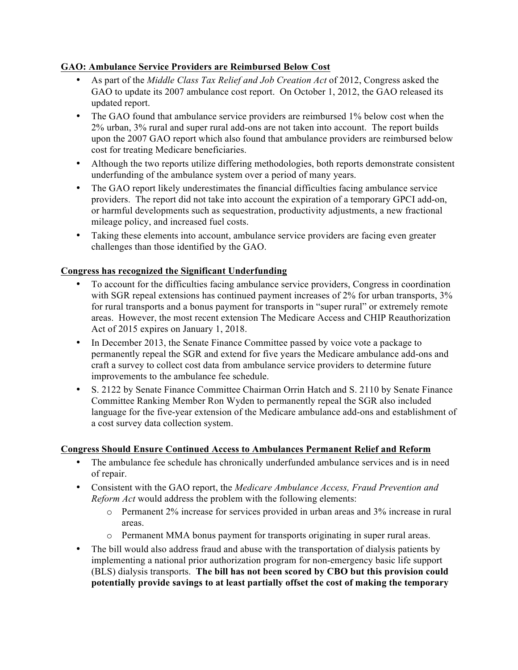#### **GAO: Ambulance Service Providers are Reimbursed Below Cost**

- As part of the *Middle Class Tax Relief and Job Creation Act* of 2012, Congress asked the GAO to update its 2007 ambulance cost report. On October 1, 2012, the GAO released its updated report.
- The GAO found that ambulance service providers are reimbursed 1% below cost when the 2% urban, 3% rural and super rural add-ons are not taken into account. The report builds upon the 2007 GAO report which also found that ambulance providers are reimbursed below cost for treating Medicare beneficiaries.
- Although the two reports utilize differing methodologies, both reports demonstrate consistent underfunding of the ambulance system over a period of many years.
- The GAO report likely underestimates the financial difficulties facing ambulance service providers. The report did not take into account the expiration of a temporary GPCI add-on, or harmful developments such as sequestration, productivity adjustments, a new fractional mileage policy, and increased fuel costs.
- Taking these elements into account, ambulance service providers are facing even greater challenges than those identified by the GAO.

## **Congress has recognized the Significant Underfunding**

- To account for the difficulties facing ambulance service providers, Congress in coordination with SGR repeal extensions has continued payment increases of 2% for urban transports, 3% for rural transports and a bonus payment for transports in "super rural" or extremely remote areas. However, the most recent extension The Medicare Access and CHIP Reauthorization Act of 2015 expires on January 1, 2018.
- In December 2013, the Senate Finance Committee passed by voice vote a package to permanently repeal the SGR and extend for five years the Medicare ambulance add-ons and craft a survey to collect cost data from ambulance service providers to determine future improvements to the ambulance fee schedule.
- S. 2122 by Senate Finance Committee Chairman Orrin Hatch and S. 2110 by Senate Finance Committee Ranking Member Ron Wyden to permanently repeal the SGR also included language for the five-year extension of the Medicare ambulance add-ons and establishment of a cost survey data collection system.

#### **Congress Should Ensure Continued Access to Ambulances Permanent Relief and Reform**

- The ambulance fee schedule has chronically underfunded ambulance services and is in need of repair.
- Consistent with the GAO report, the *Medicare Ambulance Access, Fraud Prevention and Reform Act* would address the problem with the following elements:
	- o Permanent 2% increase for services provided in urban areas and 3% increase in rural areas.
	- o Permanent MMA bonus payment for transports originating in super rural areas.
- The bill would also address fraud and abuse with the transportation of dialysis patients by implementing a national prior authorization program for non-emergency basic life support (BLS) dialysis transports. **The bill has not been scored by CBO but this provision could potentially provide savings to at least partially offset the cost of making the temporary**